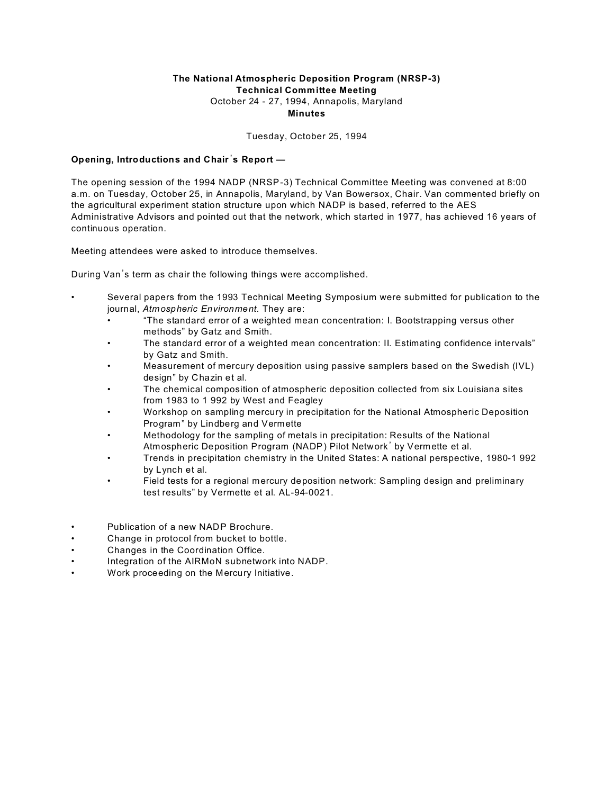## **The National Atmospheric Deposition Program (NRSP-3) Technical Committee Meeting** October 24 - 27, 1994, Annapolis, Maryland **Minutes**

Tuesday, October 25, 1994

## **Opening, Introductions and Chair**\***s Report —**

The opening session of the 1994 NADP (NRSP-3) Technical Committee Meeting was convened at 8:00 a.m. on Tuesday, October 25, in Annapolis, Maryland, by Van Bowersox, Chair. Van commented briefly on the agricultural experiment station structure upon which NADP is based, referred to the AES Administrative Advisors and pointed out that the network, which started in 1977, has achieved 16 years of continuous operation.

Meeting attendees were asked to introduce themselves.

During Van's term as chair the following things were accomplished.

- Several papers from the 1993 Technical Meeting Symposium were submitted for publication to the journal, *Atmospheric Environment.* They are:
	- "The standard error of a weighted mean concentration: I. Bootstrapping versus other methods" by Gatz and Smith.
	- The standard error of a weighted mean concentration: II. Estimating confidence intervals" by Gatz and Smith.
	- Measurement of mercury deposition using passive samplers based on the Swedish (IVL) design" by Chazin et al.
	- The chemical composition of atmospheric deposition collected from six Louisiana sites from 1983 to 1 992 by West and Feagley
	- Workshop on sampling mercury in precipitation for the National Atmospheric Deposition Program" by Lindberg and Vermette
	- Methodology for the sampling of metals in precipitation: Results of the National Atmospheric Deposition Program (NADP) Pilot Network' by Vermette et al.
	- Trends in precipitation chemistry in the United States: A national perspective, 1980-1 992 by Lynch et al.
	- Field tests for a regional mercury deposition network: Sampling design and preliminary test results" by Vermette et al. AL-94-0021.
- Publication of a new NADP Brochure.
- Change in protocol from bucket to bottle.
- Changes in the Coordination Office.
- Integration of the AIRMoN subnetwork into NADP.
- Work proceeding on the Mercury Initiative.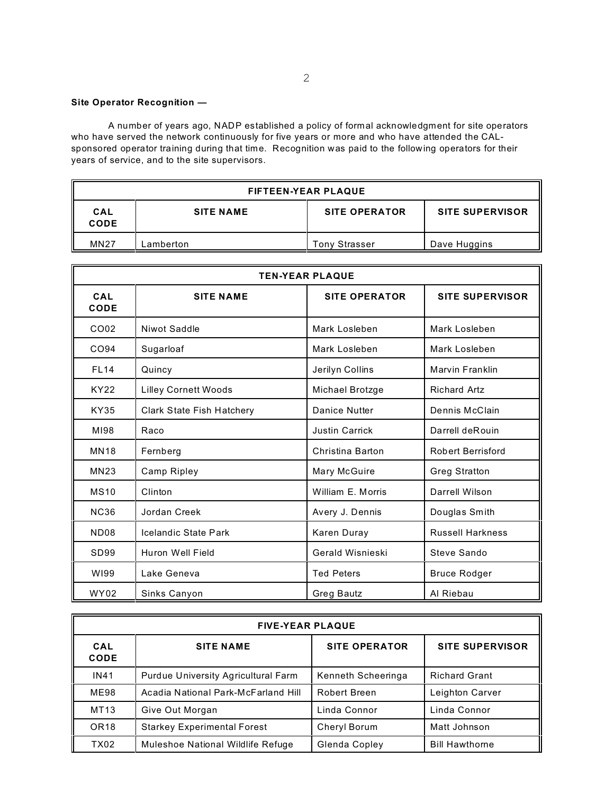## **Site Operator Recognition —**

A number of years ago, NADP established a policy of formal acknowledgment for site operators who have served the network continuously for five years or more and who have attended the CALsponsored operator training during that time. Recognition was paid to the following operators for their years of service, and to the site supervisors.

| <b>FIFTEEN-YEAR PLAQUE</b> |                  |                      |                        |
|----------------------------|------------------|----------------------|------------------------|
| CAL<br><b>CODE</b>         | <b>SITE NAME</b> | <b>SITE OPERATOR</b> | <b>SITE SUPERVISOR</b> |
| <b>MN27</b>                | -amberton        | <b>Tony Strasser</b> | Dave Huggins           |

| <b>TEN-YEAR PLAQUE</b> |                                  |                       |                          |
|------------------------|----------------------------------|-----------------------|--------------------------|
| CAL<br>CODE            | <b>SITE NAME</b>                 | <b>SITE OPERATOR</b>  | <b>SITE SUPERVISOR</b>   |
| CO02                   | Niwot Saddle                     | Mark Losleben         | Mark Losleben            |
| CO94                   | Sugarloaf                        | Mark Losleben         | Mark Losleben            |
| <b>FL14</b>            | Quincy                           | Jerilyn Collins       | Marvin Franklin          |
| <b>KY22</b>            | <b>Lilley Cornett Woods</b>      | Michael Brotzge       | <b>Richard Artz</b>      |
| <b>KY35</b>            | <b>Clark State Fish Hatchery</b> | Danice Nutter         | Dennis McClain           |
| MI98                   | Raco                             | <b>Justin Carrick</b> | Darrell deRouin          |
| <b>MN18</b>            | Fernberg                         | Christina Barton      | <b>Robert Berrisford</b> |
| <b>MN23</b>            | Camp Ripley                      | Mary McGuire          | <b>Greg Stratton</b>     |
| <b>MS10</b>            | Clinton                          | William E. Morris     | Darrell Wilson           |
| <b>NC36</b>            | Jordan Creek                     | Avery J. Dennis       | Douglas Smith            |
| <b>ND08</b>            | Icelandic State Park             | Karen Duray           | <b>Russell Harkness</b>  |
| SD <sub>99</sub>       | Huron Well Field                 | Gerald Wisnieski      | Steve Sando              |
| WI99                   | Lake Geneva                      | <b>Ted Peters</b>     | <b>Bruce Rodger</b>      |
| <b>WY02</b>            | Sinks Canyon                     | Greg Bautz            | Al Riebau                |

| <b>FIVE-YEAR PLAQUE</b> |                                     |                      |                        |
|-------------------------|-------------------------------------|----------------------|------------------------|
| CAL<br><b>CODE</b>      | <b>SITE NAME</b>                    | <b>SITE OPERATOR</b> | <b>SITE SUPERVISOR</b> |
| <b>IN41</b>             | Purdue University Agricultural Farm | Kenneth Scheeringa   | <b>Richard Grant</b>   |
| <b>ME98</b>             | Acadia National Park-McFarland Hill | <b>Robert Breen</b>  | Leighton Carver        |
| MT13                    | Give Out Morgan                     | Linda Connor         | Linda Connor           |
| OR <sub>18</sub>        | <b>Starkey Experimental Forest</b>  | Cheryl Borum         | Matt Johnson           |
| TX02                    | Muleshoe National Wildlife Refuge   | Glenda Copley        | <b>Bill Hawthorne</b>  |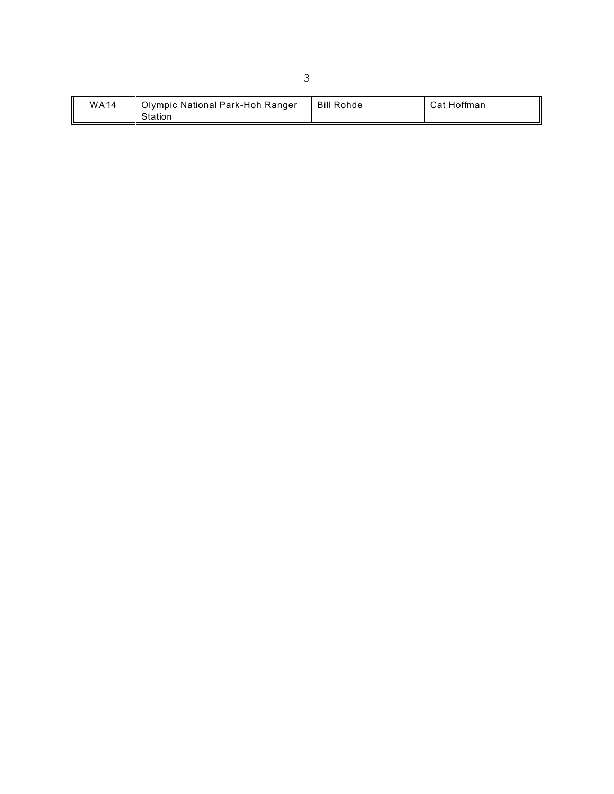| <b>WA14</b><br>Olympic National Park-Hoh Ranger<br>Station | <b>Bill Rohde</b> | Cat Hoffman |
|------------------------------------------------------------|-------------------|-------------|
|------------------------------------------------------------|-------------------|-------------|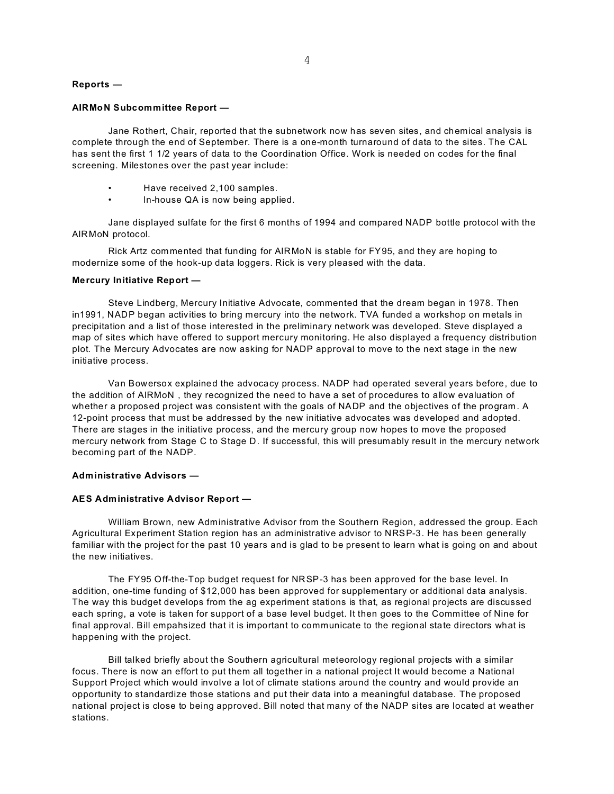#### **Reports —**

#### **AIRMoN Subcommittee Report —**

Jane Rothert, Chair, reported that the subnetwork now has seven sites, and chemical analysis is complete through the end of September. There is a one-month turnaround of data to the sites. The CAL has sent the first 1 1/2 years of data to the Coordination Office. Work is needed on codes for the final screening. Milestones over the past year include:

- Have received 2,100 samples.
- ln-house QA is now being applied.

Jane displayed sulfate for the first 6 months of 1994 and compared NADP bottle protocol with the AIRMoN protocol.

Rick Artz commented that funding for AIRMoN is stable for FY95, and they are hoping to modernize some of the hook-up data loggers. Rick is very pleased with the data.

#### **Mercury Initiative Report —**

Steve Lindberg, Mercury Initiative Advocate, commented that the dream began in 1978. Then in1991, NADP began activities to bring mercury into the network. TVA funded a workshop on metals in precipitation and a list of those interested in the preliminary network was developed. Steve displayed a map of sites which have offered to support mercury monitoring. He also displayed a frequency distribution plot. The Mercury Advocates are now asking for NADP approval to move to the next stage in the new initiative process.

Van Bowersox explained the advocacy process. NADP had operated several years before, due to the addition of AIRMoN , they recognized the need to have a set of procedures to allow evaluation of whether a proposed project was consistent with the goals of NADP and the objectives of the program. A 12-point process that must be addressed by the new initiative advocates was developed and adopted. There are stages in the initiative process, and the mercury group now hopes to move the proposed mercury network from Stage C to Stage D. If successful, this will presumably result in the mercury network becoming part of the NADP.

### **Administrative Advisors —**

#### **AES Administrative Advisor Report —**

William Brown, new Administrative Advisor from the Southern Region, addressed the group. Each Agricultural Experiment Station region has an administrative advisor to NRSP-3. He has been generally familiar with the project for the past 10 years and is glad to be present to learn what is going on and about the new initiatives.

The FY95 Off-the-Top budget request for NRSP-3 has been approved for the base level. In addition, one-time funding of \$12,000 has been approved for supplementary or additional data analysis. The way this budget develops from the ag experiment stations is that, as regional projects are discussed each spring, a vote is taken for support of a base level budget. It then goes to the Committee of Nine for final approval. Bill empahsized that it is important to communicate to the regional state directors what is happening with the project.

Bill talked briefly about the Southern agricultural meteorology regional projects with a similar focus. There is now an effort to put them all together in a national project It would become a National Support Project which would involve a lot of climate stations around the country and would provide an opportunity to standardize those stations and put their data into a meaningful database. The proposed national project is close to being approved. Bill noted that many of the NADP sites are located at weather stations.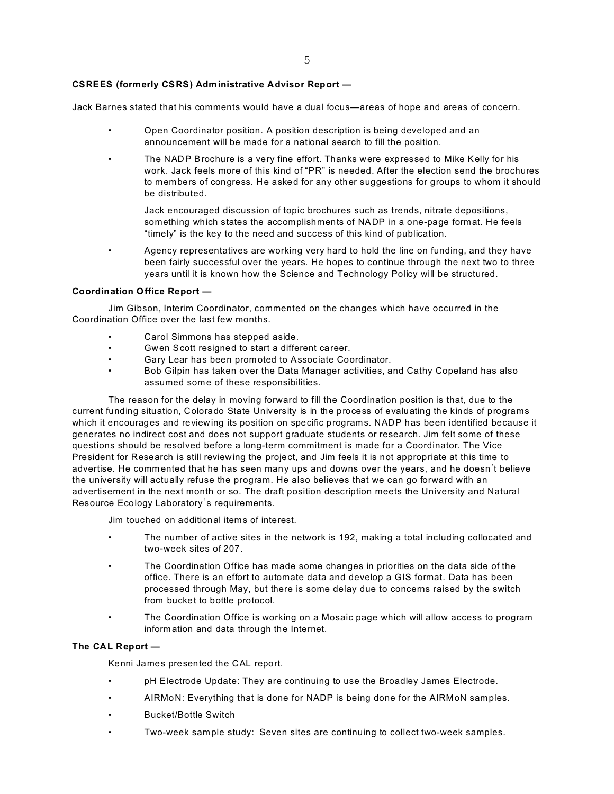## **CSREES (formerly CSRS) Administrative Advisor Report —**

Jack Barnes stated that his comments would have a dual focus—areas of hope and areas of concern.

- Open Coordinator position. A position description is being developed and an announcement will be made for a national search to fill the position.
- The NADP Brochure is a very fine effort. Thanks were expressed to Mike Kelly for his work. Jack feels more of this kind of "PR" is needed. After the election send the brochures to members of congress. He asked for any other suggestions for groups to whom it should be distributed.

Jack encouraged discussion of topic brochures such as trends, nitrate depositions, something which states the accomplishments of NADP in a one-page format. He feels "timely" is the key to the need and success of this kind of publication.

• Agency representatives are working very hard to hold the line on funding, and they have been fairly successful over the years. He hopes to continue through the next two to three years until it is known how the Science and Technology Policy will be structured.

## **Coordination Office Report —**

Jim Gibson, Interim Coordinator, commented on the changes which have occurred in the Coordination Office over the last few months.

- Carol Simmons has stepped aside.
- Gwen Scott resigned to start a different career.
- Gary Lear has been promoted to Associate Coordinator.
- Bob Gilpin has taken over the Data Manager activities, and Cathy Copeland has also assumed some of these responsibilities.

The reason for the delay in moving forward to fill the Coordination position is that, due to the current funding situation, Colorado State University is in the process of evaluating the kinds of programs which it encourages and reviewing its position on specific programs. NADP has been identified because it generates no indirect cost and does not support graduate students or research. Jim felt some of these questions should be resolved before a long-term commitment is made for a Coordinator. The Vice President for Research is still reviewing the project, and Jim feels it is not appropriate at this time to advertise. He commented that he has seen many ups and downs over the years, and he doesn't believe the university will actually refuse the program. He also believes that we can go forward with an advertisement in the next month or so. The draft position description meets the University and Natural Resource Ecology Laboratory's requirements.

Jim touched on additional items of interest.

- The number of active sites in the network is 192, making a total including collocated and two-week sites of 207.
- The Coordination Office has made some changes in priorities on the data side of the office. There is an effort to automate data and develop a GIS format. Data has been processed through May, but there is some delay due to concerns raised by the switch from bucket to bottle protocol.
- The Coordination Office is working on a Mosaic page which will allow access to program information and data through the Internet.

### **The CAL Report —**

Kenni James presented the CAL report.

- pH Electrode Update: They are continuing to use the Broadley James Electrode.
- AIRMoN: Everything that is done for NADP is being done for the AIRMoN samples.
- Bucket/Bottle Switch
- Two-week sample study: Seven sites are continuing to collect two-week samples.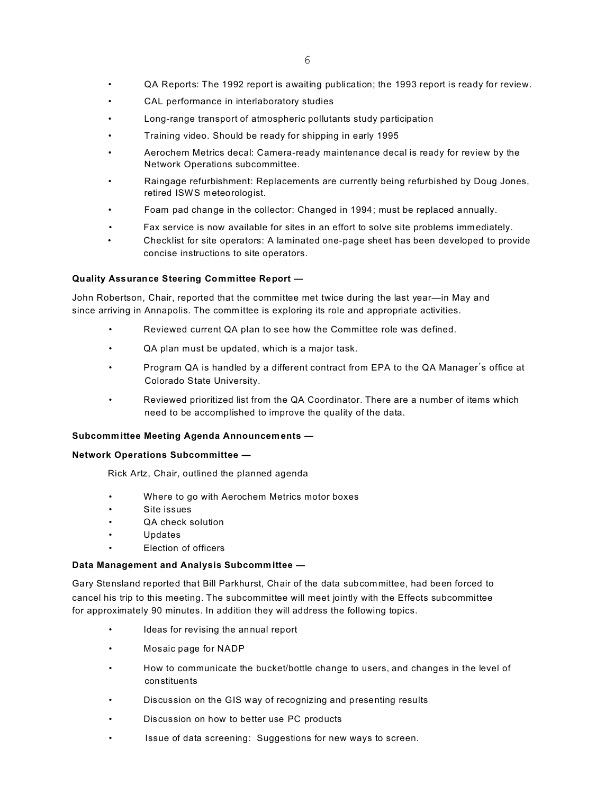- QA Reports: The 1992 report is awaiting publication; the 1993 report is ready for review.
- CAL performance in interlaboratory studies
- Long-range transport of atmospheric pollutants study participation
- Training video. Should be ready for shipping in early 1995
- Aerochem Metrics decal: Camera-ready maintenance decal is ready for review by the Network Operations subcommittee.
- Raingage refurbishment: Replacements are currently being refurbished by Doug Jones, retired ISWS meteorologist.
- Foam pad change in the collector: Changed in 1994; must be replaced annually.
- Fax service is now available for sites in an effort to solve site problems immediately.
- Checklist for site operators: A laminated one-page sheet has been developed to provide concise instructions to site operators.

## **Quality Assurance Steering Committee Report —**

John Robertson, Chair, reported that the committee met twice during the last year—in May and since arriving in Annapolis. The committee is exploring its role and appropriate activities.

- Reviewed current QA plan to see how the Committee role was defined.
- QA plan must be updated, which is a major task.
- Program QA is handled by a different contract from EPA to the QA Manager\*s office at Colorado State University.
- Reviewed prioritized list from the QA Coordinator. There are a number of items which need to be accomplished to improve the quality of the data.

## **Subcomm ittee Meeting Agenda Announcements —**

## **Network Operations Subcommittee —**

Rick Artz, Chair, outlined the planned agenda

- Where to go with Aerochem Metrics motor boxes
- Site issues
- QA check solution
- Updates
- Election of officers

## **Data Management and Analysis Subcommittee —**

Gary Stensland reported that Bill Parkhurst, Chair of the data subcommittee, had been forced to cancel his trip to this meeting. The subcommittee will meet jointly with the Effects subcommittee for approximately 90 minutes. In addition they will address the following topics.

- Ideas for revising the annual report
- Mosaic page for NADP
- How to communicate the bucket/bottle change to users, and changes in the level of constituents
- Discussion on the GIS way of recognizing and presenting results
- Discussion on how to better use PC products
- Issue of data screening: Suggestions for new ways to screen.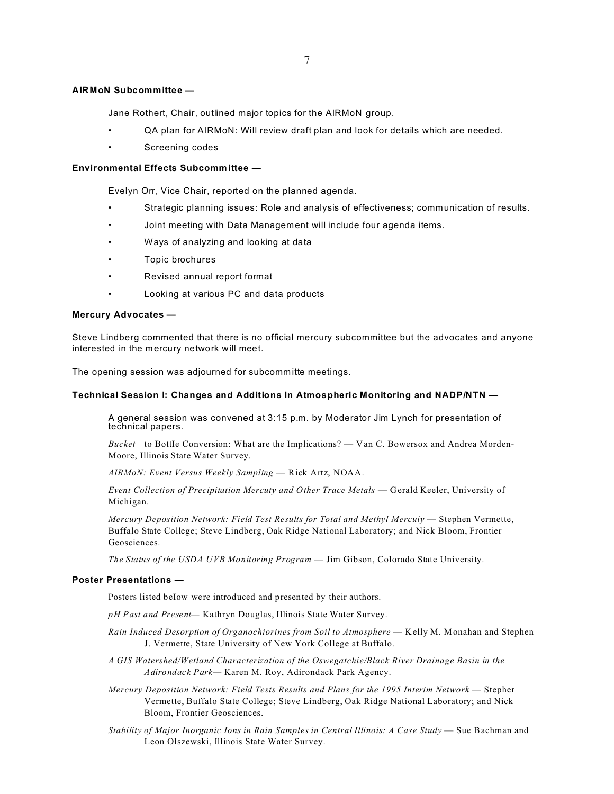## **AIRMoN Subcommittee —**

Jane Rothert, Chair, outlined major topics for the AIRMoN group.

- QA plan for AIRMoN: Will review draft plan and look for details which are needed.
- Screening codes

## **Environmental Effects Subcommittee —**

Evelyn Orr, Vice Chair, reported on the planned agenda.

- Strategic planning issues: Role and analysis of effectiveness; communication of results.
- Joint meeting with Data Management will include four agenda items.
- Ways of analyzing and looking at data
- Topic brochures
- Revised annual report format
- Looking at various PC and data products

### **Mercury Advocates —**

Steve Lindberg commented that there is no official mercury subcommittee but the advocates and anyone interested in the mercury network will meet.

The opening session was adjourned for subcommitte meetings.

### **Technical Session I: Changes and Additions In Atmospheric Monitoring and NADP/NTN —**

A general session was convened at 3:15 p.m. by Moderator Jim Lynch for presentation of technical papers.

*Bucket* to BottIe Conversion: What are the Implications? — Van C. Bowersox and Andrea Morden-Moore, Illinois State Water Survey.

*AIRMoN: Event Versus Weekly Sampling* — Rick Artz, NOAA.

*Event Collection of Precipitation Mercuty and Other Trace Metals* — Gerald Keeler, University of Michigan.

*Mercury Deposition Network: Field Test Results for Total and Methyl Mercuiy* — Stephen Vermette, Buffalo State College; Steve Lindberg, Oak Ridge National Laboratory; and Nick Bloom, Frontier Geosciences.

*The Status of the USDA UVB Monitoring Program* — Jim Gibson, Colorado State University.

#### **Poster Presentations —**

Posters listed beIow were introduced and presented by their authors.

*pH Past and Present—* Kathryn Douglas, Illinois State Water Survey.

- *Rain Induced Desorption of Organochiorines from Soil to Atmosphere*  Kelly M. Monahan and Stephen J. Vermette, State University of New York College at Buffalo.
- *A GIS Watershed/Wetland Characterization of the Oswegatchie/Black River Drainage Basin in the Adirondack Park—* Karen M. Roy, Adirondack Park Agency.
- *Mercury Deposition Network: Field Tests Results and Plans for the 1995 Interim Network*  Stepher Vermette, Buffalo State College; Steve Lindberg, Oak Ridge National Laboratory; and Nick Bloom, Frontier Geosciences.
- *Stability of Major Inorganic Ions in Rain Samples in Central Illinois: A Case Study* Sue Bachman and Leon Olszewski, Illinois State Water Survey.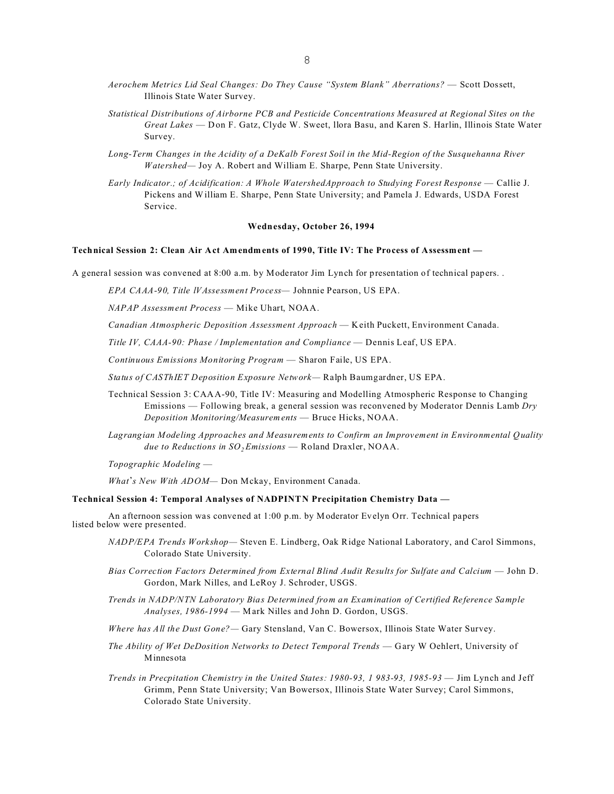- *Aerochem Metrics Lid Seal Changes: Do They Cause "System Blank" Aberrations?*  Scott Dossett, Illinois State Water Survey.
- *Statistical Distributions of Airborne PCB and Pesticide Concentrations Measured at Regional Sites on the Great Lakes* — Don F. Gatz, Clyde W. Sweet, llora Basu, and Karen S. Harlin, Illinois State Water Survey.
- *Long-Term Changes in the Acidity of a DeKalb Forest Soil in the Mid-Region of the Susquehanna River Watershed—* Joy A. Robert and William E. Sharpe, Penn State University.
- *Early Indicator.; of Acidification: A Whole WatershedApproach to Studying Forest Response*  Callie J. Pickens and William E. Sharpe, Penn State University; and Pamela J. Edwards, USDA Forest Service.

### **Wednesday, October 26, 1994**

#### **Technical Session 2: Clean Air Act Amendments of 1990, Title IV: The Process of Assessment —**

A general session was convened at 8:00 a.m. by Moderator Jim Lynch for presentation of technical papers. .

*EPA CAAA-90, Title lVAssessment Process—* Johnnie Pearson, US EPA.

*NAPAP Assessment Process* — Mike Uhart, NOAA.

*Canadian Atmospheric Deposition Assessment Approach* — Keith Puckett, Environment Canada.

*Title IV, CAAA-90: Phase / Implementation and Compliance* — Dennis Leaf, US EPA.

*Continuous Emissions Monitoring Program* — Sharon Faile, US EPA.

*Status of CASThIET Deposition Exposure Network—* Ralph Baumgardner, US EPA.

- Technical Session 3: CAAA-90, Title IV: Measuring and Modelling Atmospheric Response to Changing Emissions — Following break, a general session was reconvened by Moderator Dennis Lamb *Dry Deposition Monitoring/Measurements* — Bruce Hicks, NOAA.
- *Lagrangian Modeling Approaches and Measurements to Confirm an Improvement in Environmental Quality due to Reductions in SO2 Emissions* — Roland Draxler, NOAA.

*Topographic Modeling* —

*What\*s New With ADOM—* Don Mckay, Environment Canada.

#### **Technical Session 4: Temporal Analyses of NADPINTN Precipitation Chemistry Data —**

An afternoon session was convened at 1:00 p.m. by Moderator Evelyn Orr. Technical papers listed below were presented.

- *NADP/EPA Trends Workshop—* Steven E. Lindberg, Oak Ridge National Laboratory, and Carol Simmons, Colorado State University.
- *Bias Correction Factors Determined from External Blind Audit Results for Sulfate and Calcium*  John D. Gordon, Mark Nilles, and LeRoy J. Schroder, USGS.
- *Trends in NADP/NTN Laboratory Bias Determined from an Examination of Certified Reference Sample Analyses, 1986-1994* — Mark Nilles and John D. Gordon, USGS.
- *Where has All the Dust Gone?—* Gary Stensland, Van C. Bowersox, Illinois State Water Survey.
- *The Ability of Wet DeDosition Networks to Detect Temporal Trends*  Gary W Oehlert, University of Minnesota
- *Trends in Precpitation Chemistry in the United States: 1980-93, 1 983-93, 1985-93*  Jim Lynch and Jeff Grimm, Penn State University; Van Bowersox, Illinois State Water Survey; Carol Simmons, Colorado State University.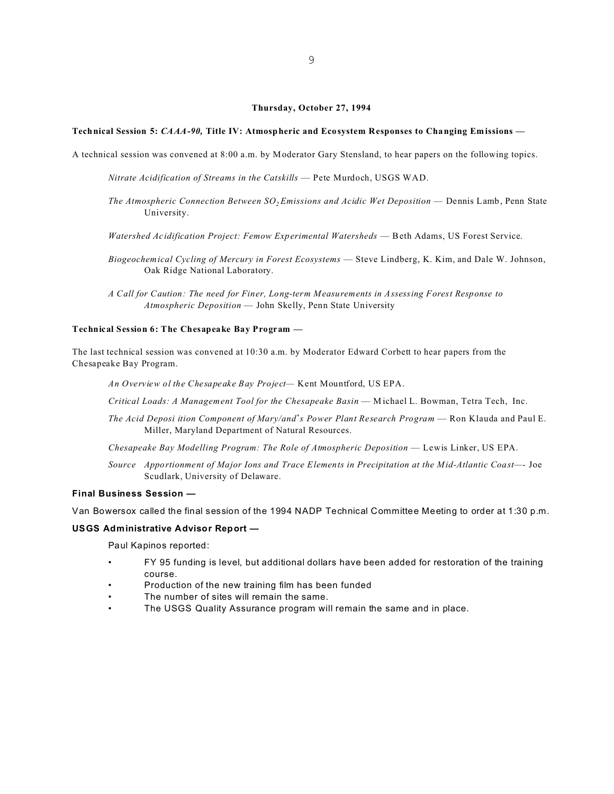#### **Thursday, October 27, 1994**

#### **Technical Session 5:** *CAAA-90,* **Title IV: Atmospheric and Ecosystem Responses to Changing Emissions —**

A technical session was convened at 8:00 a.m. by Moderator Gary Stensland, to hear papers on the following topics.

*Nitrate Acidification of Streams in the Catskills* — Pete Murdoch, USGS WAD.

- *The Atmospheric Connection Between SO2 Emissions and Acidic Wet Deposition*  Dennis Lamb, Penn State University.
- *Watershed Acidification Project: Femow Experimental Watersheds*  Beth Adams, US Forest Service.
- *Biogeochemical Cycling of Mercury in Forest Ecosystems*  Steve Lindberg, K. Kim, and Dale W. Johnson, Oak Ridge National Laboratory.
- *A Call for Caution: The need for Finer, Long-term Measurements in Assessing Forest Response to Atmospheric Deposition* — John Skelly, Penn State University

### **Technical Session 6: The Chesapeake Bay Program —**

The last technical session was convened at 10:30 a.m. by Moderator Edward Corbett to hear papers from the Chesapeake Bay Program.

*An Overview ol the Chesapeake Bay Project—* Kent Mountford, US EPA.

*Critical Loads: A Management Tool for the Chesapeake Basin* — Michael L. Bowman, Tetra Tech, Inc.

- *The Acid Deposi ition Component of Mary/and\*s Power Plant Research Program*  Ron Klauda and Paul E. Miller, Maryland Department of Natural Resources.
- *Chesapeake Bay Modelling Program: The Role of Atmospheric Deposition*  Lewis Linker, US EPA.
- *Source Apportionment of Major Ions and Trace Elements in Precipitation at the Mid-Atlantic Coast—-* Joe Scudlark, University of Delaware.

### **Final Business Session —**

Van Bowersox called the final session of the 1994 NADP Technical Committee Meeting to order at 1:30 p.m.

## **USGS Administrative Advisor Report —**

Paul Kapinos reported:

- FY 95 funding is level, but additional dollars have been added for restoration of the training course.
- Production of the new training film has been funded
- The number of sites will remain the same.
- The USGS Quality Assurance program will remain the same and in place.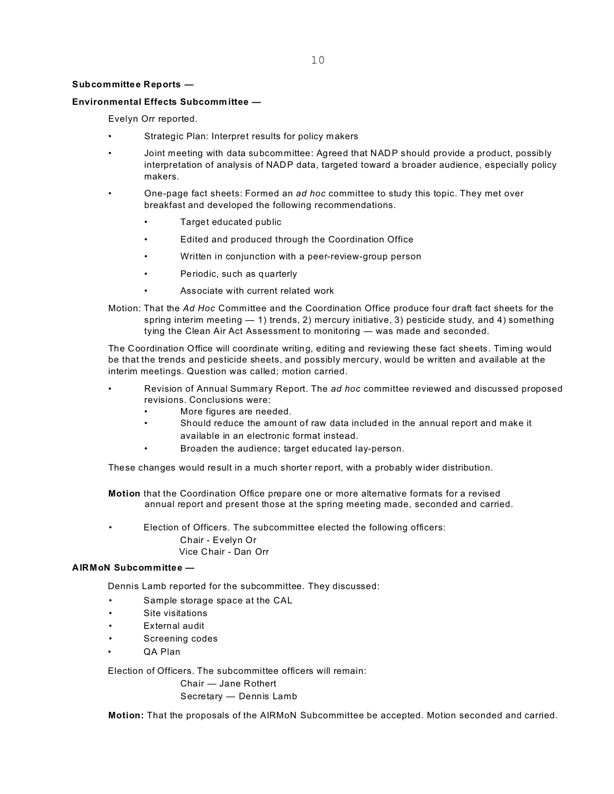## **Subcommittee Reports —**

## **Environmental Effects Subcommittee —**

Evelyn Orr reported.

- Strategic Plan: Interpret results for policy makers
- Joint meeting with data subcommittee: Agreed that NADP should provide a product, possibly interpretation of analysis of NADP data, targeted toward a broader audience, especially policy makers.
- One-page fact sheets: Formed an *ad hoc* committee to study this topic. They met over breakfast and developed the following recommendations.
	- Target educated public
	- Edited and produced through the Coordination Office
	- Written in conjunction with a peer-review-group person
	- Periodic, such as quarterly
	- Associate with current related work
- Motion: That the *Ad Hoc* Committee and the Coordination Office produce four draft fact sheets for the spring interim meeting  $-1$ ) trends, 2) mercury initiative, 3) pesticide study, and 4) something tying the Clean Air Act Assessment to monitoring — was made and seconded.

The Coordination Office will coordinate writing, editing and reviewing these fact sheets. Timing would be that the trends and pesticide sheets, and possibly mercury, would be written and available at the interim meetings. Question was called; motion carried.

- Revision of Annual Summary Report. The *ad hoc* committee reviewed and discussed proposed revisions. Conclusions were:
	- More figures are needed.
	- Should reduce the amount of raw data included in the annual report and make it available in an electronic format instead.
	- Broaden the audience; target educated lay-person.

These changes would result in a much shorter report, with a probably wider distribution.

**Motion** that the Coordination Office prepare one or more alternative formats for a revised annual report and present those at the spring meeting made, seconded and carried.

• Election of Officers. The subcommittee elected the following officers: Chair - Evelyn Or Vice Chair - Dan Orr

## **AIRMoN Subcommittee —**

Dennis Lamb reported for the subcommittee. They discussed:

- Sample storage space at the CAL
- Site visitations
- External audit
- Screening codes
- QA Plan

Election of Officers. The subcommittee officers will remain:

Chair — Jane Rothert Secretary — Dennis Lamb

**Motion:** That the proposals of the AIRMoN Subcommittee be accepted. Motion seconded and carried.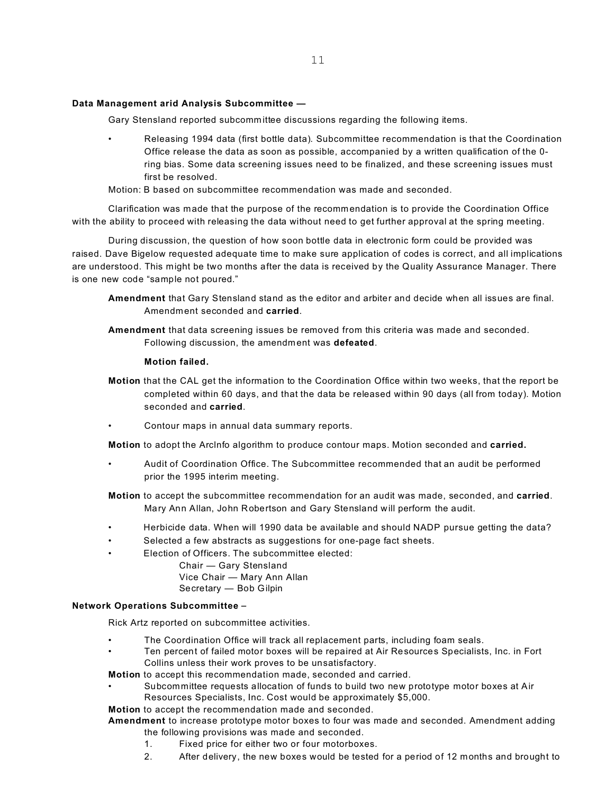## **Data Management arid Analysis Subcommittee —**

Gary Stensland reported subcommittee discussions regarding the following items.

• Releasing 1994 data (first bottle data). Subcommittee recommendation is that the Coordination Office release the data as soon as possible, accompanied by a written qualification of the 0 ring bias. Some data screening issues need to be finalized, and these screening issues must first be resolved.

Motion: B based on subcommittee recommendation was made and seconded.

Clarification was made that the purpose of the recommendation is to provide the Coordination Office with the ability to proceed with releasing the data without need to get further approval at the spring meeting.

During discussion, the question of how soon bottle data in electronic form could be provided was raised. Dave Bigelow requested adequate time to make sure application of codes is correct, and all implications are understood. This might be two months after the data is received by the Quality Assurance Manager. There is one new code "sample not poured."

- **Amendment** that Gary Stensland stand as the editor and arbiter and decide when all issues are final. Amendment seconded and **carried**.
- **Amendment** that data screening issues be removed from this criteria was made and seconded. Following discussion, the amendm ent was **defeated**.

## **Motion failed.**

- **Motion** that the CAL get the information to the Coordination Office within two weeks, that the report be completed within 60 days, and that the data be released within 90 days (all from today). Motion seconded and **carried**.
- Contour maps in annual data summary reports.

**Motion** to adopt the Arclnfo algorithm to produce contour maps. Motion seconded and **carried.**

- Audit of Coordination Office. The Subcommittee recommended that an audit be performed prior the 1995 interim meeting.
- **Motion** to accept the subcommittee recommendation for an audit was made, seconded, and **carried**. Mary Ann Allan, John Robertson and Gary Stensland will perform the audit.
- Herbicide data. When will 1990 data be available and should NADP pursue getting the data?
- Selected a few abstracts as suggestions for one-page fact sheets.
- Election of Officers. The subcommittee elected:

Chair — Gary Stensland Vice Chair — Mary Ann Allan Secretary — Bob Gilpin

## **Network Operations Subcommittee -**

Rick Artz reported on subcommittee activities.

- The Coordination Office will track all replacement parts, including foam seals.
- Ten percent of failed motor boxes will be repaired at Air Resources Specialists, Inc. in Fort Collins unless their work proves to be unsatisfactory.

**Motion** to accept this recommendation made, seconded and carried.

• Subcommittee requests allocation of funds to build two new prototype motor boxes at Air Resources Specialists, Inc. Cost would be approximately \$5,000.

**Motion** to accept the recommendation made and seconded.

- **Amendment** to increase prototype motor boxes to four was made and seconded. Amendment adding the following provisions was made and seconded.
	- 1. Fixed price for either two or four motorboxes.
	- 2. After delivery, the new boxes would be tested for a period of 12 months and brought to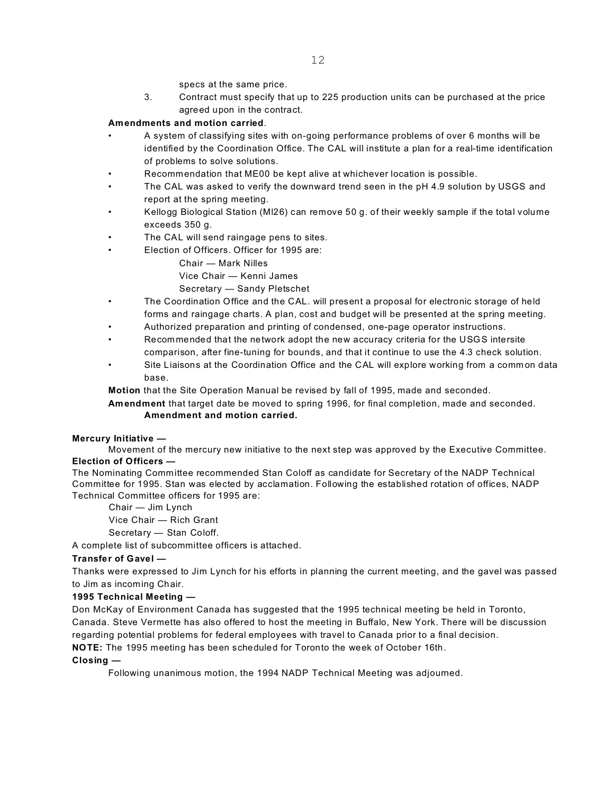specs at the same price.

3. Contract must specify that up to 225 production units can be purchased at the price agreed upon in the contract.

## **Amendments and motion carried**.

- A system of classifying sites with on-going performance problems of over 6 months will be identified by the Coordination Office. The CAL will institute a plan for a real-time identification of problems to solve solutions.
- Recommendation that ME00 be kept alive at whichever location is possible.
- The CAL was asked to verify the downward trend seen in the pH 4.9 solution by USGS and report at the spring meeting.
- Kellogg Biological Station (Ml26) can remove 50 g. of their weekly sample if the total volume exceeds 350 g.
- The CAL will send raingage pens to sites.
- Election of Officers. Officer for 1995 are:
	- Chair Mark Nilles
	- Vice Chair Kenni James
	- Secretary Sandy Pletschet
- The Coordination Office and the CAL. will present a proposal for electronic storage of held forms and raingage charts. A plan, cost and budget will be presented at the spring meeting.
- Authorized preparation and printing of condensed, one-page operator instructions.
- Recommended that the network adopt the new accuracy criteria for the USGS intersite comparison, after fine-tuning for bounds, and that it continue to use the 4.3 check solution.
- Site Liaisons at the Coordination Office and the CAL will explore working from a common data base.

**Motion** that the Site Operation Manual be revised by fall of 1995, made and seconded.

**Amendment** that target date be moved to spring 1996, for final completion, made and seconded. **Amendment and motion carried.**

## **Mercury Initiative —**

Movement of the mercury new initiative to the next step was approved by the Executive Committee. **Election of Officers —**

The Nominating Committee recommended Stan Coloff as candidate for Secretary of the NADP Technical Committee for 1995. Stan was elected by acclamation. Following the established rotation of offices, NADP Technical Committee officers for 1995 are:

Chair — Jim Lynch

Vice Chair — Rich Grant

Secretary — Stan Coloff.

A complete list of subcommittee officers is attached.

## **Transfer of Gavel —**

Thanks were expressed to Jim Lynch for his efforts in planning the current meeting, and the gavel was passed to Jim as incoming Chair.

## **1995 Technical Meeting —**

Don McKay of Environment Canada has suggested that the 1995 technical meeting be held in Toronto, Canada. Steve Vermette has also offered to host the meeting in Buffalo, New York. There will be discussion regarding potential problems for federal employees with travel to Canada prior to a final decision.

**NOTE:** The 1995 meeting has been scheduled for Toronto the week of October 16th.

## **Closing —**

Following unanimous motion, the 1994 NADP Technical Meeting was adjourned.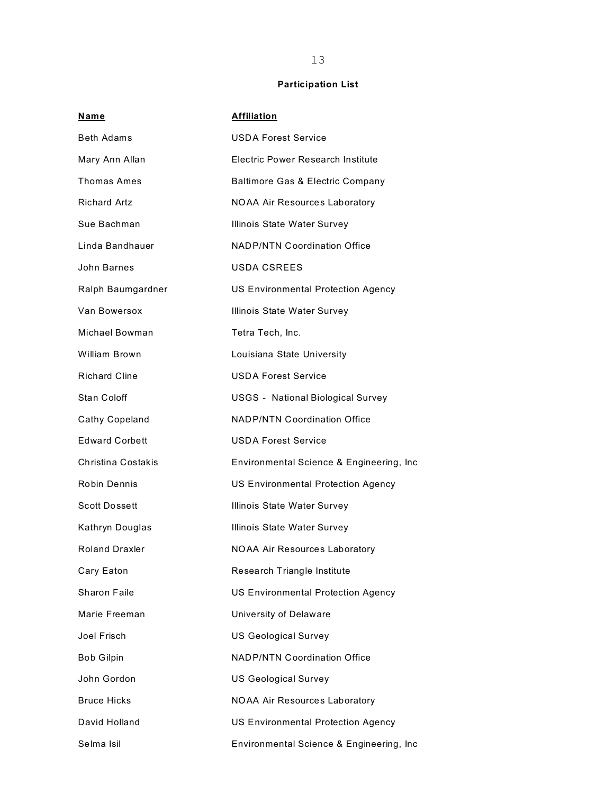# **Participation List**

| Name                  | <b>Affiliation</b>                        |
|-----------------------|-------------------------------------------|
| <b>Beth Adams</b>     | <b>USDA Forest Service</b>                |
| Mary Ann Allan        | Electric Power Research Institute         |
| <b>Thomas Ames</b>    | Baltimore Gas & Electric Company          |
| <b>Richard Artz</b>   | <b>NOAA Air Resources Laboratory</b>      |
| Sue Bachman           | Illinois State Water Survey               |
| Linda Bandhauer       | <b>NADP/NTN Coordination Office</b>       |
| John Barnes           | <b>USDA CSREES</b>                        |
| Ralph Baumgardner     | <b>US Environmental Protection Agency</b> |
| Van Bowersox          | Illinois State Water Survey               |
| Michael Bowman        | Tetra Tech, Inc.                          |
| William Brown         | Louisiana State University                |
| <b>Richard Cline</b>  | <b>USDA Forest Service</b>                |
| Stan Coloff           | <b>USGS - National Biological Survey</b>  |
| Cathy Copeland        | <b>NADP/NTN Coordination Office</b>       |
| <b>Edward Corbett</b> | <b>USDA Forest Service</b>                |
| Christina Costakis    | Environmental Science & Engineering, Inc. |
| Robin Dennis          | <b>US Environmental Protection Agency</b> |
| <b>Scott Dossett</b>  | Illinois State Water Survey               |
| Kathryn Douglas       | Illinois State Water Survey               |
| Roland Draxler        | <b>NOAA Air Resources Laboratory</b>      |
| Cary Eaton            | Research Triangle Institute               |
| Sharon Faile          | <b>US Environmental Protection Agency</b> |
| Marie Freeman         | University of Delaware                    |
| Joel Frisch           | <b>US Geological Survey</b>               |
| <b>Bob Gilpin</b>     | <b>NADP/NTN Coordination Office</b>       |
| John Gordon           | <b>US Geological Survey</b>               |
| <b>Bruce Hicks</b>    | <b>NOAA Air Resources Laboratory</b>      |
| David Holland         | <b>US Environmental Protection Agency</b> |
| Selma Isil            | Environmental Science & Engineering, Inc  |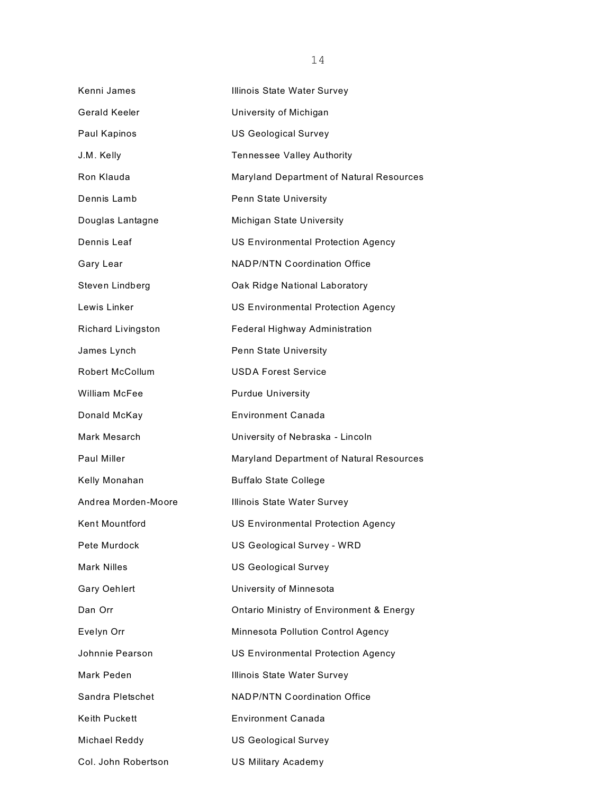| Kenni James            | Illinois State Water Survey               |
|------------------------|-------------------------------------------|
| Gerald Keeler          | University of Michigan                    |
| Paul Kapinos           | <b>US Geological Survey</b>               |
| J.M. Kelly             | <b>Tennessee Valley Authority</b>         |
| Ron Klauda             | Maryland Department of Natural Resources  |
| Dennis Lamb            | Penn State University                     |
| Douglas Lantagne       | Michigan State University                 |
| Dennis Leaf            | <b>US Environmental Protection Agency</b> |
| Gary Lear              | <b>NADP/NTN Coordination Office</b>       |
| Steven Lindberg        | Oak Ridge National Laboratory             |
| Lewis Linker           | <b>US Environmental Protection Agency</b> |
| Richard Livingston     | Federal Highway Administration            |
| James Lynch            | <b>Penn State University</b>              |
| <b>Robert McCollum</b> | <b>USDA Forest Service</b>                |
| <b>William McFee</b>   | <b>Purdue University</b>                  |
| Donald McKay           | <b>Environment Canada</b>                 |
| Mark Mesarch           | University of Nebraska - Lincoln          |
| <b>Paul Miller</b>     | Maryland Department of Natural Resources  |
| Kelly Monahan          | <b>Buffalo State College</b>              |
| Andrea Morden-Moore    | Illinois State Water Survey               |
| <b>Kent Mountford</b>  | <b>US Environmental Protection Agency</b> |
| Pete Murdock           | US Geological Survey - WRD                |
| <b>Mark Nilles</b>     | <b>US Geological Survey</b>               |
| <b>Gary Oehlert</b>    | University of Minnesota                   |
| Dan Orr                | Ontario Ministry of Environment & Energy  |
| Evelyn Orr             | Minnesota Pollution Control Agency        |
| Johnnie Pearson        | <b>US Environmental Protection Agency</b> |
| Mark Peden             | Illinois State Water Survey               |
| Sandra Pletschet       | <b>NADP/NTN Coordination Office</b>       |
| Keith Puckett          | <b>Environment Canada</b>                 |
| Michael Reddy          | <b>US Geological Survey</b>               |
| Col. John Robertson    | <b>US Military Academy</b>                |